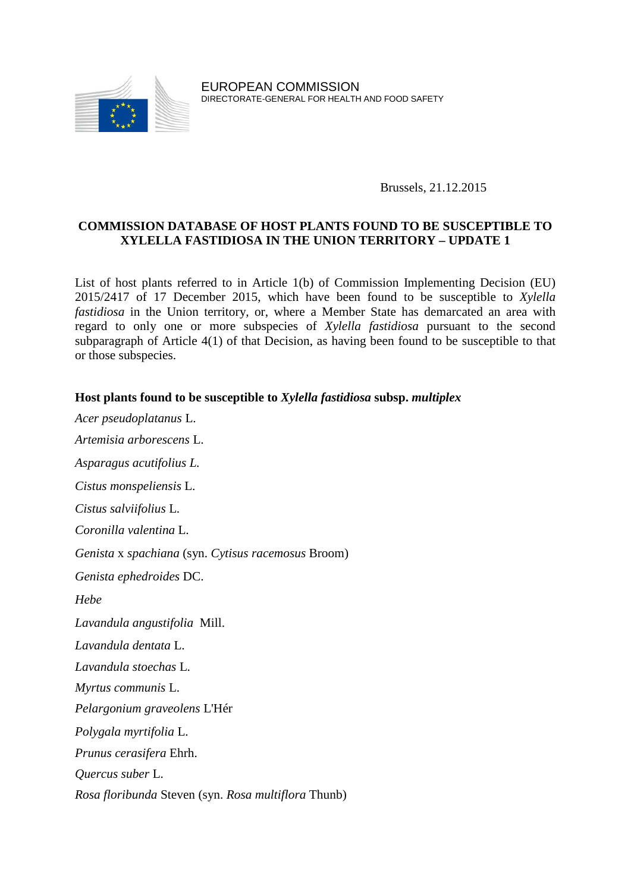

EUROPEAN COMMISSION DIRECTORATE-GENERAL FOR HEALTH AND FOOD SAFETY

Brussels, 21.12.2015

## **COMMISSION DATABASE OF HOST PLANTS FOUND TO BE SUSCEPTIBLE TO XYLELLA FASTIDIOSA IN THE UNION TERRITORY – UPDATE 1**

List of host plants referred to in Article 1(b) of Commission Implementing Decision (EU) 2015/2417 of 17 December 2015, which have been found to be susceptible to *Xylella fastidiosa* in the Union territory, or, where a Member State has demarcated an area with regard to only one or more subspecies of *Xylella fastidiosa* pursuant to the second subparagraph of Article 4(1) of that Decision, as having been found to be susceptible to that or those subspecies.

## **Host plants found to be susceptible to** *Xylella fastidiosa* **subsp.** *multiplex*

*Acer pseudoplatanus* L. *Artemisia arborescens* L. *Asparagus acutifolius L. Cistus monspeliensis* L. *Cistus salviifolius* L. *Coronilla valentina* L. *Genista* x *spachiana* (syn. *Cytisus racemosus* Broom) *Genista ephedroides* DC. *Hebe Lavandula angustifolia* Mill. *Lavandula dentata* L. *Lavandula stoechas* L. *Myrtus communis* L. *Pelargonium graveolens* L'Hér *Polygala myrtifolia* L. *Prunus cerasifera* Ehrh. *Quercus suber* L. *Rosa floribunda* Steven (syn. *Rosa multiflora* Thunb)